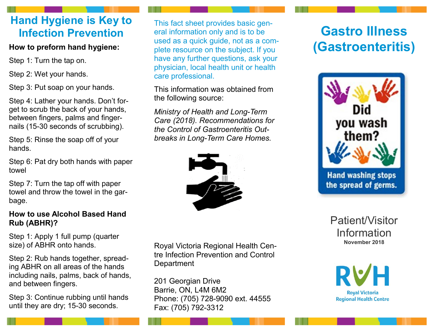# **Hand Hygiene is Key to Infection Prevention**

## **How to preform hand hygiene:**

Step 1: Turn the tap on.

Step 2: Wet your hands.

Step 3: Put soap on your hands.

Step 4: Lather your hands. Don't forget to scrub the back of your hands, between fingers, palms and fingernails (15-30 seconds of scrubbing).

Step 5: Rinse the soap off of your hands.

Step 6: Pat dry both hands with paper towel

Step 7: Turn the tap off with paper towel and throw the towel in the garbage.

### **How to use Alcohol Based Hand Rub (ABHR)?**

Step 1: Apply 1 full pump (quarter size) of ABHR onto hands.

Step 2: Rub hands together, spreading ABHR on all areas of the hands including nails, palms, back of hands, and between fingers.

Step 3: Continue rubbing until hands until they are dry; 15-30 seconds.

This fact sheet provides basic general information only and is to be used as a quick guide, not as a complete resource on the subject. If you have any further questions, ask your physician, local health unit or health care professional.

This information was obtained from the following source:

*Ministry of Health and Long-Term Care (2018). Recommendations for the Control of Gastroenteritis Outbreaks in Long-Term Care Homes.* 



Royal Victoria Regional Health Centre Infection Prevention and Control **Department** 

201 Georgian Drive Barrie, ON, L4M 6M2 Phone: (705) 728-9090 ext. 44555 Fax: (705) 792-3312

# **Gastro Illness (Gastroenteritis)**



Patient/Visitor Information **November 2018**